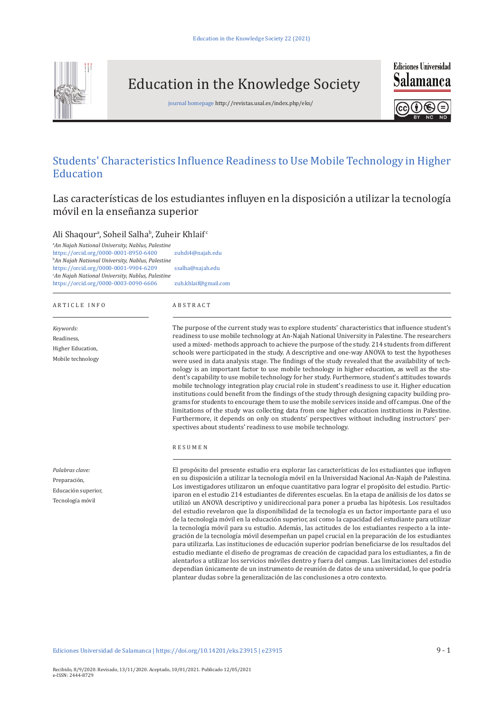

# Education in the Knowledge Society

journal homepage http://revistas.usal.es/index.php/eks/



**Ediciones Universidad** 

(cc) G)

# Students' Characteristics Influence Readiness to Use Mobile Technology in Higher Education

Las características de los estudiantes influyen en la disposición a utilizar la tecnología móvil en la enseñanza superior

Ali Shaqour<sup>a</sup>, Soheil Salha<sup>b</sup>, Zuheir Khlaif<sup>c</sup>

| <sup>a</sup> An Najah National University, Nablus, Palestine |                      |
|--------------------------------------------------------------|----------------------|
| https://orcid.org/0000-0001-8950-6400                        | zuhdi4@najah.edu     |
| <sup>b</sup> An Najah National University, Nablus, Palestine |                      |
| https://orcid.org/0000-0001-9904-6209                        | ssalha@najah.edu     |
| An Najah National University, Nablus, Palestine              |                      |
| https://orcid.org/0000-0003-0090-6606                        | zuh.khlaif@gmail.com |
|                                                              |                      |

| ARTICLE INFO                                                               | ABSTRACT                                                                                                                                                                                                                                                                                                                                                                                                                                                                                                                                                                                                                                                                                                                                                                                                                                                                                                                                                                                                                                                                                                                                                                                                                                                                                                            |
|----------------------------------------------------------------------------|---------------------------------------------------------------------------------------------------------------------------------------------------------------------------------------------------------------------------------------------------------------------------------------------------------------------------------------------------------------------------------------------------------------------------------------------------------------------------------------------------------------------------------------------------------------------------------------------------------------------------------------------------------------------------------------------------------------------------------------------------------------------------------------------------------------------------------------------------------------------------------------------------------------------------------------------------------------------------------------------------------------------------------------------------------------------------------------------------------------------------------------------------------------------------------------------------------------------------------------------------------------------------------------------------------------------|
| Keywords:<br>Readiness.<br>Higher Education,<br>Mobile technology          | The purpose of the current study was to explore students' characteristics that influence student's<br>readiness to use mobile technology at An-Najah National University in Palestine. The researchers<br>used a mixed- methods approach to achieve the purpose of the study. 214 students from different<br>schools were participated in the study. A descriptive and one-way ANOVA to test the hypotheses<br>were used in data analysis stage. The findings of the study revealed that the availability of tech-<br>nology is an important factor to use mobile technology in higher education, as well as the stu-<br>dent's capability to use mobile technology for her study. Furthermore, student's attitudes towards<br>mobile technology integration play crucial role in student's readiness to use it. Higher education<br>institutions could benefit from the findings of the study through designing capacity building pro-<br>grams for students to encourage them to use the mobile services inside and off campus. One of the<br>limitations of the study was collecting data from one higher education institutions in Palestine.<br>Furthermore, it depends on only on students' perspectives without including instructors' per-<br>spectives about students' readiness to use mobile technology. |
| Palabras clave:<br>Preparación,<br>Educación superior,<br>Tecnología móvil | <b>RESUMEN</b><br>El propósito del presente estudio era explorar las características de los estudiantes que influyen<br>en su disposición a utilizar la tecnología móvil en la Universidad Nacional An-Najah de Palestina.<br>Los investigadores utilizaron un enfoque cuantitativo para lograr el propósito del estudio. Partic-<br>iparon en el estudio 214 estudiantes de diferentes escuelas. En la etapa de análisis de los datos se<br>utilizó un ANOVA descriptivo y unidireccional para poner a prueba las hipótesis. Los resultados<br>del estudio revelaron que la disponibilidad de la tecnología es un factor importante para el uso<br>de la tecnología móvil en la educación superior, así como la capacidad del estudiante para utilizar<br>la tecnología móvil para su estudio. Además, las actitudes de los estudiantes respecto a la inte-<br>gración de la tecnología móvil desempeñan un papel crucial en la preparación de los estudiantes<br>para utilizarla. Las instituciones de educación superior podrían beneficiarse de los resultados del<br>estudio mediante el diseño de programas de creación de capacidad para los estudiantes, a fin de<br>alentarlos a utilizar los servicios móviles dentro y fuera del campus. Las limitaciones del estudio                                    |

dependían únicamente de un instrumento de reunión de datos de una universidad, lo que podría

plantear dudas sobre la generalización de las conclusiones a otro contexto.

Ediciones Universidad de Salamanca | https://doi.org/10.14201/eks.23915 | e23915 9 - 1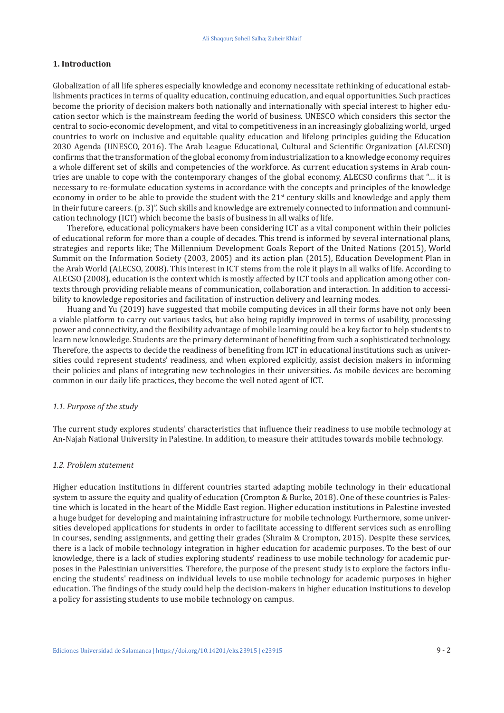#### **1. Introduction**

Globalization of all life spheres especially knowledge and economy necessitate rethinking of educational establishments practices in terms of quality education, continuing education, and equal opportunities. Such practices become the priority of decision makers both nationally and internationally with special interest to higher education sector which is the mainstream feeding the world of business. UNESCO which considers this sector the central to socio-economic development, and vital to competitiveness in an increasingly globalizing world, urged countries to work on inclusive and equitable quality education and lifelong principles guiding the Education 2030 Agenda (UNESCO, 2016). The Arab League Educational, Cultural and Scientific Organization (ALECSO) confirms that the transformation of the global economy from industrialization to a knowledge economy requires a whole different set of skills and competencies of the workforce. As current education systems in Arab countries are unable to cope with the contemporary changes of the global economy, ALECSO confirms that "… it is necessary to re-formulate education systems in accordance with the concepts and principles of the knowledge economy in order to be able to provide the student with the  $21<sup>st</sup>$  century skills and knowledge and apply them in their future careers. (p. 3)". Such skills and knowledge are extremely connected to information and communication technology (ICT) which become the basis of business in all walks of life.

Therefore, educational policymakers have been considering ICT as a vital component within their policies of educational reform for more than a couple of decades. This trend is informed by several international plans, strategies and reports like; The Millennium Development Goals Report of the United Nations (2015), World Summit on the Information Society (2003, 2005) and its action plan (2015), Education Development Plan in the Arab World (ALECSO, 2008). This interest in ICT stems from the role it plays in all walks of life. According to ALECSO (2008), education is the context which is mostly affected by ICT tools and application among other contexts through providing reliable means of communication, collaboration and interaction. In addition to accessibility to knowledge repositories and facilitation of instruction delivery and learning modes.

Huang and Yu (2019) have suggested that mobile computing devices in all their forms have not only been a viable platform to carry out various tasks, but also being rapidly improved in terms of usability, processing power and connectivity, and the flexibility advantage of mobile learning could be a key factor to help students to learn new knowledge. Students are the primary determinant of benefiting from such a sophisticated technology. Therefore, the aspects to decide the readiness of benefiting from ICT in educational institutions such as universities could represent students' readiness, and when explored explicitly, assist decision makers in informing their policies and plans of integrating new technologies in their universities. As mobile devices are becoming common in our daily life practices, they become the well noted agent of ICT.

#### *1.1. Purpose of the study*

The current study explores students' characteristics that influence their readiness to use mobile technology at An-Najah National University in Palestine. In addition, to measure their attitudes towards mobile technology.

#### *1.2. Problem statement*

Higher education institutions in different countries started adapting mobile technology in their educational system to assure the equity and quality of education (Crompton & Burke, 2018). One of these countries is Palestine which is located in the heart of the Middle East region. Higher education institutions in Palestine invested a huge budget for developing and maintaining infrastructure for mobile technology. Furthermore, some universities developed applications for students in order to facilitate accessing to different services such as enrolling in courses, sending assignments, and getting their grades (Shraim & Crompton, 2015). Despite these services, there is a lack of mobile technology integration in higher education for academic purposes. To the best of our knowledge, there is a lack of studies exploring students' readiness to use mobile technology for academic purposes in the Palestinian universities. Therefore, the purpose of the present study is to explore the factors influencing the students' readiness on individual levels to use mobile technology for academic purposes in higher education. The findings of the study could help the decision-makers in higher education institutions to develop a policy for assisting students to use mobile technology on campus.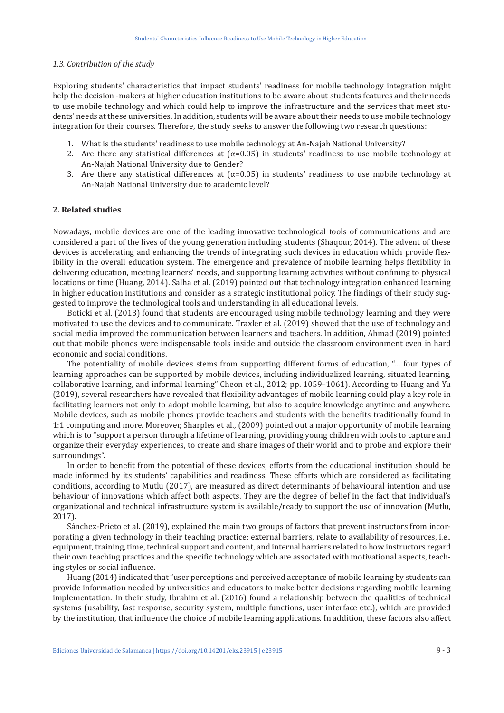#### *1.3. Contribution of the study*

Exploring students' characteristics that impact students' readiness for mobile technology integration might help the decision -makers at higher education institutions to be aware about students features and their needs to use mobile technology and which could help to improve the infrastructure and the services that meet students' needs at these universities. In addition, students will be aware about their needs to use mobile technology integration for their courses. Therefore, the study seeks to answer the following two research questions:

- 1. What is the students' readiness to use mobile technology at An-Najah National University?
- 2. Are there any statistical differences at  $(\alpha=0.05)$  in students' readiness to use mobile technology at An-Najah National University due to Gender?
- 3. Are there any statistical differences at  $(\alpha=0.05)$  in students' readiness to use mobile technology at An-Najah National University due to academic level?

# **2. Related studies**

Nowadays, mobile devices are one of the leading innovative technological tools of communications and are considered a part of the lives of the young generation including students (Shaqour, 2014). The advent of these devices is accelerating and enhancing the trends of integrating such devices in education which provide flexibility in the overall education system. The emergence and prevalence of mobile learning helps flexibility in delivering education, meeting learners' needs, and supporting learning activities without confining to physical locations or time (Huang, 2014). Salha et al. (2019) pointed out that technology integration enhanced learning in higher education institutions and consider as a strategic institutional policy. The findings of their study suggested to improve the technological tools and understanding in all educational levels.

Boticki et al. (2013) found that students are encouraged using mobile technology learning and they were motivated to use the devices and to communicate. Traxler et al. (2019) showed that the use of technology and social media improved the communication between learners and teachers. In addition, Ahmad (2019) pointed out that mobile phones were indispensable tools inside and outside the classroom environment even in hard economic and social conditions.

The potentiality of mobile devices stems from supporting different forms of education, "… four types of learning approaches can be supported by mobile devices, including individualized learning, situated learning, collaborative learning, and informal learning" Cheon et al., 2012; pp. 1059–1061). According to Huang and Yu (2019), several researchers have revealed that flexibility advantages of mobile learning could play a key role in facilitating learners not only to adopt mobile learning, but also to acquire knowledge anytime and anywhere. Mobile devices, such as mobile phones provide teachers and students with the benefits traditionally found in 1:1 computing and more. Moreover, Sharples et al., (2009) pointed out a major opportunity of mobile learning which is to "support a person through a lifetime of learning, providing young children with tools to capture and organize their everyday experiences, to create and share images of their world and to probe and explore their surroundings".

In order to benefit from the potential of these devices, efforts from the educational institution should be made informed by its students' capabilities and readiness. These efforts which are considered as facilitating conditions, according to Mutlu (2017), are measured as direct determinants of behavioural intention and use behaviour of innovations which affect both aspects. They are the degree of belief in the fact that individual's organizational and technical infrastructure system is available/ready to support the use of innovation (Mutlu, 2017).

Sánchez-Prieto et al. (2019), explained the main two groups of factors that prevent instructors from incorporating a given technology in their teaching practice: external barriers, relate to availability of resources, i.e., equipment, training, time, technical support and content, and internal barriers related to how instructors regard their own teaching practices and the specific technology which are associated with motivational aspects, teaching styles or social influence.

Huang (2014) indicated that "user perceptions and perceived acceptance of mobile learning by students can provide information needed by universities and educators to make better decisions regarding mobile learning implementation. In their study, Ibrahim et al. (2016) found a relationship between the qualities of technical systems (usability, fast response, security system, multiple functions, user interface etc.), which are provided by the institution, that influence the choice of mobile learning applications. In addition, these factors also affect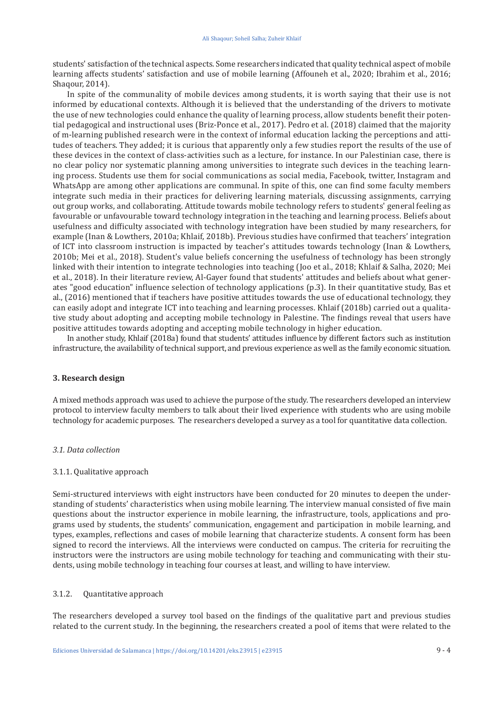students' satisfaction of the technical aspects. Some researchers indicated that quality technical aspect of mobile learning affects students' satisfaction and use of mobile learning (Affouneh et al., 2020; Ibrahim et al., 2016; Shaqour, 2014).

In spite of the communality of mobile devices among students, it is worth saying that their use is not informed by educational contexts. Although it is believed that the understanding of the drivers to motivate the use of new technologies could enhance the quality of learning process, allow students benefit their potential pedagogical and instructional uses (Briz-Ponce et al., 2017). Pedro et al. (2018) claimed that the majority of m-learning published research were in the context of informal education lacking the perceptions and attitudes of teachers. They added; it is curious that apparently only a few studies report the results of the use of these devices in the context of class-activities such as a lecture, for instance. In our Palestinian case, there is no clear policy nor systematic planning among universities to integrate such devices in the teaching learning process. Students use them for social communications as social media, Facebook, twitter, Instagram and WhatsApp are among other applications are communal. In spite of this, one can find some faculty members integrate such media in their practices for delivering learning materials, discussing assignments, carrying out group works, and collaborating. Attitude towards mobile technology refers to students' general feeling as favourable or unfavourable toward technology integration in the teaching and learning process. Beliefs about usefulness and difficulty associated with technology integration have been studied by many researchers, for example (Inan & Lowthers, 2010a; Khlaif, 2018b). Previous studies have confirmed that teachers' integration of ICT into classroom instruction is impacted by teacher's attitudes towards technology (Inan & Lowthers, 2010b; Mei et al., 2018). Student's value beliefs concerning the usefulness of technology has been strongly linked with their intention to integrate technologies into teaching (Joo et al., 2018; Khlaif & Salha, 2020; Mei et al., 2018). In their literature review, Al-Gayer found that students' attitudes and beliefs about what generates "good education" influence selection of technology applications (p.3). In their quantitative study, Bas et al., (2016) mentioned that if teachers have positive attitudes towards the use of educational technology, they can easily adopt and integrate ICT into teaching and learning processes. Khlaif (2018b) carried out a qualitative study about adopting and accepting mobile technology in Palestine. The findings reveal that users have positive attitudes towards adopting and accepting mobile technology in higher education.

In another study, Khlaif (2018a) found that students' attitudes influence by different factors such as institution infrastructure, the availability of technical support, and previous experience as well as the family economic situation.

# **3. Research design**

A mixed methods approach was used to achieve the purpose of the study. The researchers developed an interview protocol to interview faculty members to talk about their lived experience with students who are using mobile technology for academic purposes. The researchers developed a survey as a tool for quantitative data collection.

# *3.1. Data collection*

#### 3.1.1. Qualitative approach

Semi-structured interviews with eight instructors have been conducted for 20 minutes to deepen the understanding of students' characteristics when using mobile learning. The interview manual consisted of five main questions about the instructor experience in mobile learning, the infrastructure, tools, applications and programs used by students, the students' communication, engagement and participation in mobile learning, and types, examples, reflections and cases of mobile learning that characterize students. A consent form has been signed to record the interviews. All the interviews were conducted on campus. The criteria for recruiting the instructors were the instructors are using mobile technology for teaching and communicating with their students, using mobile technology in teaching four courses at least, and willing to have interview.

#### 3.1.2. Quantitative approach

The researchers developed a survey tool based on the findings of the qualitative part and previous studies related to the current study. In the beginning, the researchers created a pool of items that were related to the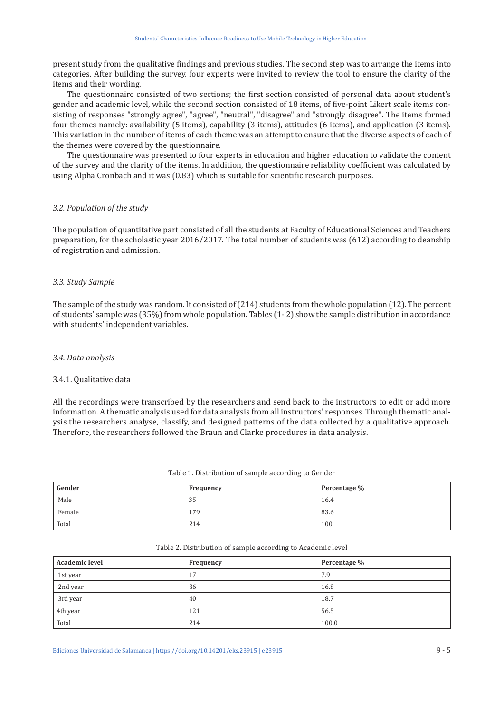present study from the qualitative findings and previous studies. The second step was to arrange the items into categories. After building the survey, four experts were invited to review the tool to ensure the clarity of the items and their wording.

The questionnaire consisted of two sections; the first section consisted of personal data about student's gender and academic level, while the second section consisted of 18 items, of five-point Likert scale items consisting of responses "strongly agree", "agree", "neutral", "disagree" and "strongly disagree". The items formed four themes namely: availability (5 items), capability (3 items), attitudes (6 items), and application (3 items). This variation in the number of items of each theme was an attempt to ensure that the diverse aspects of each of the themes were covered by the questionnaire.

The questionnaire was presented to four experts in education and higher education to validate the content of the survey and the clarity of the items. In addition, the questionnaire reliability coefficient was calculated by using Alpha Cronbach and it was (0.83) which is suitable for scientific research purposes.

# *3.2. Population of the study*

The population of quantitative part consisted of all the students at Faculty of Educational Sciences and Teachers preparation, for the scholastic year 2016/2017. The total number of students was (612) according to deanship of registration and admission.

# *3.3. Study Sample*

The sample of the study was random. It consisted of (214) students from the whole population (12). The percent of students' sample was (35%) from whole population. Tables (1- 2) show the sample distribution in accordance with students' independent variables.

#### *3.4. Data analysis*

#### 3.4.1. Qualitative data

All the recordings were transcribed by the researchers and send back to the instructors to edit or add more information. A thematic analysis used for data analysis from all instructors' responses. Through thematic analysis the researchers analyse, classify, and designed patterns of the data collected by a qualitative approach. Therefore, the researchers followed the Braun and Clarke procedures in data analysis.

| Gender | Frequency | Percentage % |
|--------|-----------|--------------|
| Male   | 35        | 16.4         |
| Female | 179       | 83.6         |
| Total  | 214       | 100          |

#### Table 1. Distribution of sample according to Gender

|  | Table 2. Distribution of sample according to Academic level |  |
|--|-------------------------------------------------------------|--|
|--|-------------------------------------------------------------|--|

| <b>Academic level</b> | Frequency | Percentage % |
|-----------------------|-----------|--------------|
| 1st year              | 17        | 7.9          |
| 2nd year              | 36        | 16.8         |
| 3rd year              | 40        | 18.7         |
| 4th year              | 121       | 56.5         |
| Total                 | 214       | 100.0        |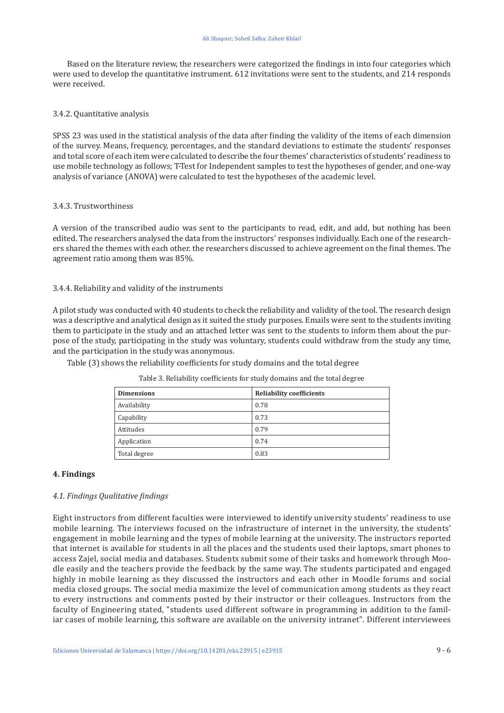Based on the literature review, the researchers were categorized the findings in into four categories which were used to develop the quantitative instrument. 612 invitations were sent to the students, and 214 responds were received.

# 3.4.2. Quantitative analysis

SPSS 23 was used in the statistical analysis of the data after finding the validity of the items of each dimension of the survey. Means, frequency, percentages, and the standard deviations to estimate the students' responses and total score of each item were calculated to describe the four themes' characteristics of students' readiness to use mobile technology as follows; T-Test for Independent samples to test the hypotheses of gender, and one-way analysis of variance (ANOVA) were calculated to test the hypotheses of the academic level.

#### 3.4.3. Trustworthiness

A version of the transcribed audio was sent to the participants to read, edit, and add, but nothing has been edited. The researchers analysed the data from the instructors' responses individually. Each one of the researchers shared the themes with each other. the researchers discussed to achieve agreement on the final themes. The agreement ratio among them was 85%.

# 3.4.4. Reliability and validity of the instruments

A pilot study was conducted with 40 students to check the reliability and validity of the tool. The research design was a descriptive and analytical design as it suited the study purposes. Emails were sent to the students inviting them to participate in the study and an attached letter was sent to the students to inform them about the purpose of the study, participating in the study was voluntary, students could withdraw from the study any time, and the participation in the study was anonymous.

| <b>Dimensions</b> | <b>Reliability coefficients</b> |
|-------------------|---------------------------------|
| Availability      | 0.78                            |
| Capability        | 0.73                            |
| Attitudes         | 0.79                            |
| Application       | 0.74                            |
| Total degree      | 0.83                            |

Table 3. Reliability coefficients for study domains and the total degree

Table (3) shows the reliability coefficients for study domains and the total degree

# **4. Findings**

# *4.1. Findings Qualitative findings*

Eight instructors from different faculties were interviewed to identify university students' readiness to use mobile learning. The interviews focused on the infrastructure of internet in the university, the students' engagement in mobile learning and the types of mobile learning at the university. The instructors reported that internet is available for students in all the places and the students used their laptops, smart phones to access Zajel, social media and databases. Students submit some of their tasks and homework through Moodle easily and the teachers provide the feedback by the same way. The students participated and engaged highly in mobile learning as they discussed the instructors and each other in Moodle forums and social media closed groups. The social media maximize the level of communication among students as they react to every instructions and comments posted by their instructor or their colleagues. Instructors from the faculty of Engineering stated, "students used different software in programming in addition to the familiar cases of mobile learning, this software are available on the university intranet". Different interviewees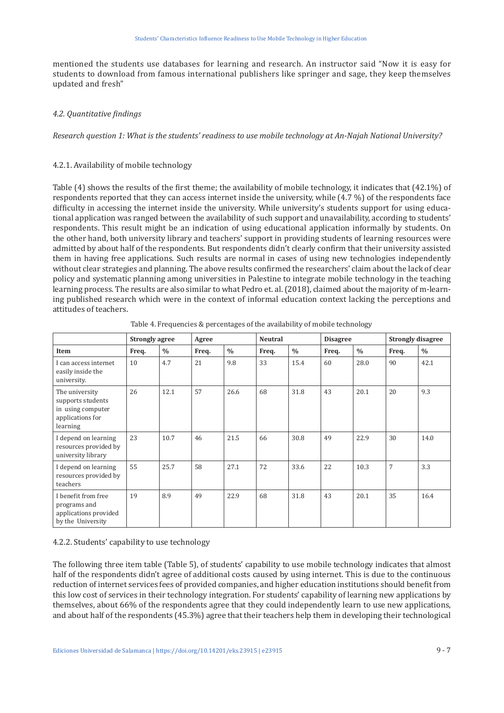mentioned the students use databases for learning and research. An instructor said "Now it is easy for students to download from famous international publishers like springer and sage, they keep themselves updated and fresh"

# *4.2. Quantitative findings*

*Research question 1: What is the students' readiness to use mobile technology at An-Najah National University?*

# 4.2.1. Availability of mobile technology

Table (4) shows the results of the first theme; the availability of mobile technology, it indicates that (42.1%) of respondents reported that they can access internet inside the university, while (4.7 %) of the respondents face difficulty in accessing the internet inside the university. While university's students support for using educational application was ranged between the availability of such support and unavailability, according to students' respondents. This result might be an indication of using educational application informally by students. On the other hand, both university library and teachers' support in providing students of learning resources were admitted by about half of the respondents. But respondents didn't clearly confirm that their university assisted them in having free applications. Such results are normal in cases of using new technologies independently without clear strategies and planning. The above results confirmed the researchers' claim about the lack of clear policy and systematic planning among universities in Palestine to integrate mobile technology in the teaching learning process. The results are also similar to what Pedro et. al. (2018), claimed about the majority of m-learning published research which were in the context of informal education context lacking the perceptions and attitudes of teachers.

|                                                                                          | <b>Strongly agree</b> |               | Agree |               | <b>Neutral</b> |               | <b>Disagree</b> |               | <b>Strongly disagree</b> |               |
|------------------------------------------------------------------------------------------|-----------------------|---------------|-------|---------------|----------------|---------------|-----------------|---------------|--------------------------|---------------|
| Item                                                                                     | Freq.                 | $\frac{0}{0}$ | Freq. | $\frac{0}{0}$ | Freq.          | $\frac{0}{0}$ | Freq.           | $\frac{0}{0}$ | Freq.                    | $\frac{0}{0}$ |
| I can access internet<br>easily inside the<br>university.                                | 10                    | 4.7           | 21    | 9.8           | 33             | 15.4          | 60              | 28.0          | 90                       | 42.1          |
| The university<br>supports students<br>in using computer<br>applications for<br>learning | 26                    | 12.1          | 57    | 26.6          | 68             | 31.8          | 43              | 20.1          | 20                       | 9.3           |
| I depend on learning<br>resources provided by<br>university library                      | 23                    | 10.7          | 46    | 21.5          | 66             | 30.8          | 49              | 22.9          | 30                       | 14.0          |
| I depend on learning<br>resources provided by<br>teachers                                | 55                    | 25.7          | 58    | 27.1          | 72             | 33.6          | 22              | 10.3          | $\overline{7}$           | 3.3           |
| I benefit from free<br>programs and<br>applications provided<br>by the University        | 19                    | 8.9           | 49    | 22.9          | 68             | 31.8          | 43              | 20.1          | 35                       | 16.4          |

Table 4. Frequencies & percentages of the availability of mobile technology

# 4.2.2. Students' capability to use technology

The following three item table (Table 5), of students' capability to use mobile technology indicates that almost half of the respondents didn't agree of additional costs caused by using internet. This is due to the continuous reduction of internet services fees of provided companies, and higher education institutions should benefit from this low cost of services in their technology integration. For students' capability of learning new applications by themselves, about 66% of the respondents agree that they could independently learn to use new applications, and about half of the respondents (45.3%) agree that their teachers help them in developing their technological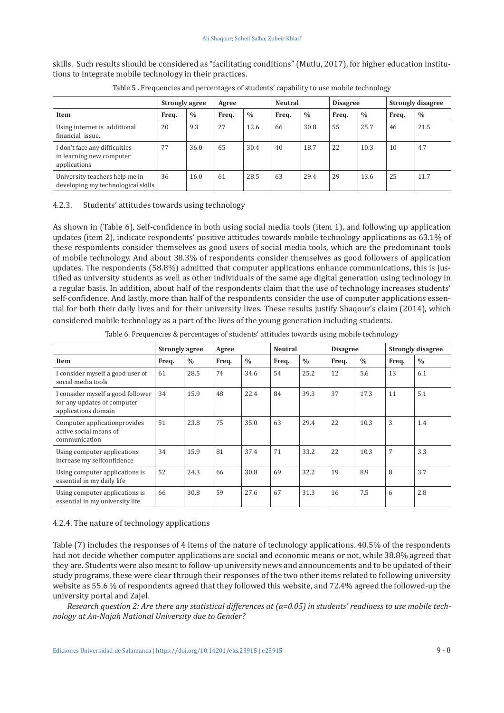skills. Such results should be considered as "facilitating conditions" (Mutlu, 2017), for higher education institutions to integrate mobile technology in their practices.

|                                                                           | <b>Strongly agree</b> |               | Agree |               | <b>Neutral</b> |               | <b>Disagree</b> |               |       | <b>Strongly disagree</b> |
|---------------------------------------------------------------------------|-----------------------|---------------|-------|---------------|----------------|---------------|-----------------|---------------|-------|--------------------------|
| Item                                                                      | Freq.                 | $\frac{0}{0}$ | Freq. | $\frac{0}{0}$ | Freq.          | $\frac{0}{0}$ | Freq.           | $\frac{0}{0}$ | Freq. | $\frac{0}{0}$            |
| Using internet is additional<br>financial issue.                          | 20                    | 9.3           | 27    | 12.6          | 66             | 30.8          | 55              | 25.7          | 46    | 21.5                     |
| I don't face any difficulties<br>in learning new computer<br>applications | 77                    | 36.0          | 65    | 30.4          | 40             | 18.7          | 22              | 10.3          | 10    | 4.7                      |
| University teachers help me in<br>developing my technological skills      | 36                    | 16.0          | 61    | 28.5          | 63             | 29.4          | 29              | 13.6          | 25    | 11.7                     |

Table 5 . Frequencies and percentages of students' capability to use mobile technology

# 4.2.3. Students' attitudes towards using technology

As shown in (Table 6), Self-confidence in both using social media tools (item 1), and following up application updates (item 2), indicate respondents' positive attitudes towards mobile technology applications as 63.1% of these respondents consider themselves as good users of social media tools, which are the predominant tools of mobile technology. And about 38.3% of respondents consider themselves as good followers of application updates. The respondents (58.8%) admitted that computer applications enhance communications, this is justified as university students as well as other individuals of the same age digital generation using technology in a regular basis. In addition, about half of the respondents claim that the use of technology increases students' self-confidence. And lastly, more than half of the respondents consider the use of computer applications essential for both their daily lives and for their university lives. These results justify Shaqour's claim (2014), which

considered mobile technology as a part of the lives of the young generation including students.

|                                                                                         | <b>Strongly agree</b> |               | Agree |               | <b>Neutral</b> |               | <b>Disagree</b> |               |       | <b>Strongly disagree</b> |
|-----------------------------------------------------------------------------------------|-----------------------|---------------|-------|---------------|----------------|---------------|-----------------|---------------|-------|--------------------------|
| Item                                                                                    | Freq.                 | $\frac{0}{0}$ | Freq. | $\frac{0}{0}$ | Freq.          | $\frac{0}{0}$ | Freq.           | $\frac{0}{0}$ | Freq. | $\frac{0}{0}$            |
| I consider myself a good user of<br>social media tools                                  | 61                    | 28.5          | 74    | 34.6          | 54             | 25.2          | 12              | 5.6           | 13    | 6.1                      |
| I consider myself a good follower<br>for any updates of computer<br>applications domain | 34                    | 15.9          | 48    | 22.4          | 84             | 39.3          | 37              | 17.3          | 11    | 5.1                      |
| Computer application provides<br>active social means of<br>communication                | 51                    | 23.8          | 75    | 35.0          | 63             | 29.4          | 22              | 10.3          | 3     | 1.4                      |
| Using computer applications<br>increase my selfconfidence                               | 34                    | 15.9          | 81    | 37.4          | 71             | 33.2          | 22              | 10.3          | 7     | 3.3                      |
| Using computer applications is<br>essential in my daily life                            | 52                    | 24.3          | 66    | 30.8          | 69             | 32.2          | 19              | 8.9           | 8     | 3.7                      |
| Using computer applications is<br>essential in my university life                       | 66                    | 30.8          | 59    | 27.6          | 67             | 31.3          | 16              | 7.5           | 6     | 2.8                      |

Table 6. Frequencies & percentages of students' attitudes towards using mobile technology

# 4.2.4. The nature of technology applications

Table (7) includes the responses of 4 items of the nature of technology applications. 40.5% of the respondents had not decide whether computer applications are social and economic means or not, while 38.8% agreed that they are. Students were also meant to follow-up university news and announcements and to be updated of their study programs, these were clear through their responses of the two other items related to following university website as 55.6 % of respondents agreed that they followed this website, and 72.4% agreed the followed-up the university portal and Zajel.

*Research question 2: Are there any statistical differences at (α=0.05) in students' readiness to use mobile technology at An-Najah National University due to Gender?*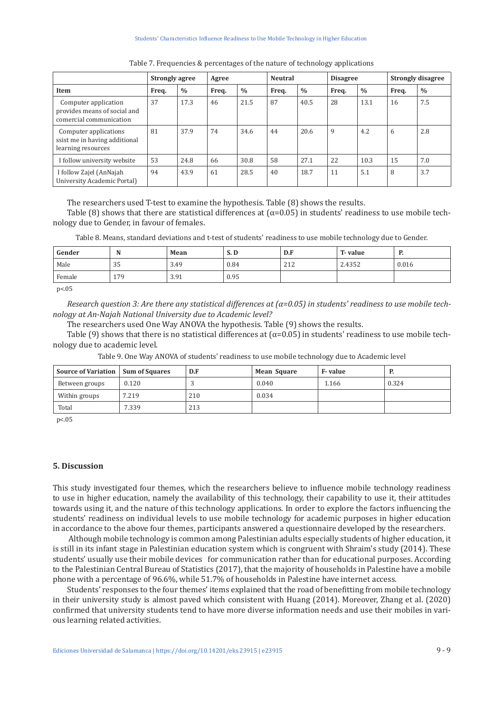|                                                                                 | Strongly agree |               | Agree |               | <b>Neutral</b> |               | <b>Disagree</b> |               |       | <b>Strongly disagree</b> |
|---------------------------------------------------------------------------------|----------------|---------------|-------|---------------|----------------|---------------|-----------------|---------------|-------|--------------------------|
| Item                                                                            | Freq.          | $\frac{0}{0}$ | Freq. | $\frac{0}{0}$ | Freq.          | $\frac{0}{0}$ | Freq.           | $\frac{0}{0}$ | Freq. | $\frac{0}{0}$            |
| Computer application<br>provides means of social and<br>comercial communication | 37             | 17.3          | 46    | 21.5          | 87             | 40.5          | 28              | 13.1          | 16    | 7.5                      |
| Computer applications<br>ssist me in having additional<br>learning resources    | 81             | 37.9          | 74    | 34.6          | 44             | 20.6          | 9               | 4.2           | 6     | 2.8                      |
| I follow university website                                                     | 53             | 24.8          | 66    | 30.8          | 58             | 27.1          | 22              | 10.3          | 15    | 7.0                      |
| I follow Zajel (AnNajah<br>University Academic Portal)                          | 94             | 43.9          | 61    | 28.5          | 40             | 18.7          | 11              | 5.1           | 8     | 3.7                      |

Table 7. Frequencies & percentages of the nature of technology applications

The researchers used T-test to examine the hypothesis. Table (8) shows the results.

Table (8) shows that there are statistical differences at  $(\alpha=0.05)$  in students' readiness to use mobile technology due to Gender, in favour of females.

Table 8. Means, standard deviations and t-test of students' readiness to use mobile technology due to Gender.

| Gender | N                   | Mean | S.D  | D.F | T-value |       |
|--------|---------------------|------|------|-----|---------|-------|
| Male   | $\sim$ $\sim$<br>აა | 3.49 | 0.84 | 212 | 2.4352  | 0.016 |
| Female | 179                 | 3.91 | 0.95 |     |         |       |

p<.05

*Research question 3: Are there any statistical differences at (α=0.05) in students' readiness to use mobile technology at An-Najah National University due to Academic level?*

The researchers used One Way ANOVA the hypothesis. Table (9) shows the results.

Table (9) shows that there is no statistical differences at  $(\alpha=0.05)$  in students' readiness to use mobile technology due to academic level.

Table 9. One Way ANOVA of students' readiness to use mobile technology due to Academic level

| <b>Source of Variation   Sum of Squares</b> |       | D.F | <b>Mean Square</b> | F-value | Р.    |
|---------------------------------------------|-------|-----|--------------------|---------|-------|
| Between groups                              | 0.120 |     | 0.040              | 1.166   | 0.324 |
| Within groups                               | 7.219 | 210 | 0.034              |         |       |
| Total                                       | 7.339 | 213 |                    |         |       |

p<.05

#### **5. Discussion**

This study investigated four themes, which the researchers believe to influence mobile technology readiness to use in higher education, namely the availability of this technology, their capability to use it, their attitudes towards using it, and the nature of this technology applications. In order to explore the factors influencing the students' readiness on individual levels to use mobile technology for academic purposes in higher education in accordance to the above four themes, participants answered a questionnaire developed by the researchers.

 Although mobile technology is common among Palestinian adults especially students of higher education, it is still in its infant stage in Palestinian education system which is congruent with Shraim's study (2014). These students' usually use their mobile devices for communication rather than for educational purposes. According to the Palestinian Central Bureau of Statistics (2017), that the majority of households in Palestine have a mobile phone with a percentage of 96.6%, while 51.7% of households in Palestine have internet access.

Students' responses to the four themes' items explained that the road of benefitting from mobile technology in their university study is almost paved which consistent with Huang (2014). Moreover, Zhang et al. (2020) confirmed that university students tend to have more diverse information needs and use their mobiles in various learning related activities.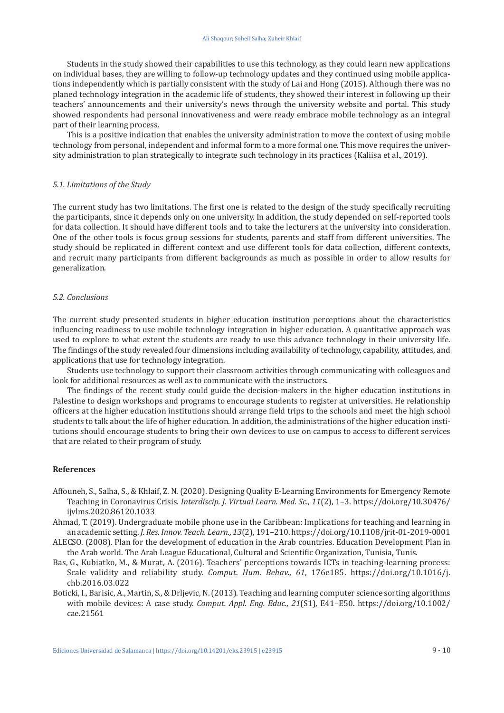Students in the study showed their capabilities to use this technology, as they could learn new applications on individual bases, they are willing to follow-up technology updates and they continued using mobile applications independently which is partially consistent with the study of Lai and Hong (2015). Although there was no planed technology integration in the academic life of students, they showed their interest in following up their teachers' announcements and their university's news through the university website and portal. This study showed respondents had personal innovativeness and were ready embrace mobile technology as an integral part of their learning process.

This is a positive indication that enables the university administration to move the context of using mobile technology from personal, independent and informal form to a more formal one. This move requires the university administration to plan strategically to integrate such technology in its practices (Kaliisa et al., 2019).

#### *5.1. Limitations of the Study*

The current study has two limitations. The first one is related to the design of the study specifically recruiting the participants, since it depends only on one university. In addition, the study depended on self-reported tools for data collection. It should have different tools and to take the lecturers at the university into consideration. One of the other tools is focus group sessions for students, parents and staff from different universities. The study should be replicated in different context and use different tools for data collection, different contexts, and recruit many participants from different backgrounds as much as possible in order to allow results for generalization.

#### *5.2. Conclusions*

The current study presented students in higher education institution perceptions about the characteristics influencing readiness to use mobile technology integration in higher education. A quantitative approach was used to explore to what extent the students are ready to use this advance technology in their university life. The findings of the study revealed four dimensions including availability of technology, capability, attitudes, and applications that use for technology integration.

Students use technology to support their classroom activities through communicating with colleagues and look for additional resources as well as to communicate with the instructors.

The findings of the recent study could guide the decision-makers in the higher education institutions in Palestine to design workshops and programs to encourage students to register at universities. He relationship officers at the higher education institutions should arrange field trips to the schools and meet the high school students to talk about the life of higher education. In addition, the administrations of the higher education institutions should encourage students to bring their own devices to use on campus to access to different services that are related to their program of study.

#### **References**

- Affouneh, S., Salha, S., & Khlaif, Z. N. (2020). Designing Quality E-Learning Environments for Emergency Remote Teaching in Coronavirus Crisis. *Interdiscip. J. Virtual Learn. Med. Sc.*, *11*(2), 1–3. [https://doi.org/10.30476/](https://doi.org/10.30476/ijvlms.2020.86120.1033) [ijvlms.2020.86120.1033](https://doi.org/10.30476/ijvlms.2020.86120.1033)
- Ahmad, T. (2019). Undergraduate mobile phone use in the Caribbean: Implications for teaching and learning in an academic setting. *J. Res. Innov. Teach. Learn., 13*(2), 191–210.<https://doi.org/10.1108/jrit-01-2019-0001>
- ALECSO. (2008). Plan for the development of education in the Arab countries. Education Development Plan in the Arab world. The Arab League Educational, Cultural and Scientific Organization, Tunisia, Tunis.
- Bas, G., Kubiatko, M., & Murat, A. (2016). Teachers' perceptions towards ICTs in teaching-learning process: Scale validity and reliability study. *Comput. Hum. Behav.*, *61*, 176e185. [https://doi.org/10.1016/j.](https://doi.org/10.1016/j.chb.2016.03.022) [chb.2016.03.022](https://doi.org/10.1016/j.chb.2016.03.022)
- Boticki, I., Barisic, A., Martin, S., & Drljevic, N. (2013). Teaching and learning computer science sorting algorithms with mobile devices: A case study. *Comput. Appl. Eng. Educ.*, *21*(S1), E41–E50. [https://doi.org/10.1002/](https://doi.org/10.1002/cae.21561) [cae.21561](https://doi.org/10.1002/cae.21561)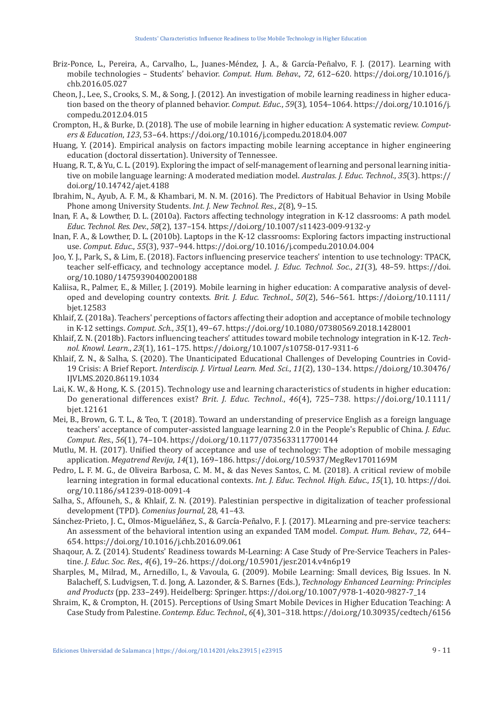- Briz-Ponce, L., Pereira, A., Carvalho, L., Juanes-Méndez, J. A., & García-Peñalvo, F. J. (2017). Learning with mobile technologies – Students' behavior. *Comput. Hum. Behav.*, *72*, 612–620. [https://doi.org/10.1016/j.](https://doi.org/10.1016/j.chb.2016.05.027) [chb.2016.05.027](https://doi.org/10.1016/j.chb.2016.05.027)
- Cheon, J., Lee, S., Crooks, S. M., & Song, J. (2012). An investigation of mobile learning readiness in higher education based on the theory of planned behavior. *Comput. Educ.*, *59*(3), 1054–1064. [https://doi.org/10.1016/j.](https://doi.org/10.1016/j.compedu.2012.04.015) [compedu.2012.04.015](https://doi.org/10.1016/j.compedu.2012.04.015)
- Crompton, H., & Burke, D. (2018). The use of mobile learning in higher education: A systematic review. *Computers & Education*, *123*, 53–64. <https://doi.org/10.1016/j.compedu.2018.04.007>
- Huang, Y. (2014). Empirical analysis on factors impacting mobile learning acceptance in higher engineering education (doctoral dissertation). University of Tennessee.
- Huang, R. T., & Yu, C. L. (2019). Exploring the impact of self-management of learning and personal learning initiative on mobile language learning: A moderated mediation model. *Australas. J. Educ. Technol.*, *35*(3). [https://](https://doi.org/10.14742/ajet.4188) [doi.org/10.14742/ajet.4188](https://doi.org/10.14742/ajet.4188)
- Ibrahim, N., Ayub, A. F. M., & Khambari, M. N. M. (2016). The Predictors of Habitual Behavior in Using Mobile Phone among University Students. *Int. J. New Technol. Res.*, *2*(8), 9–15.
- Inan, F. A., & Lowther, D. L. (2010a). Factors affecting technology integration in K-12 classrooms: A path model. *Educ. Technol. Res. Dev.*, *58*(2), 137–154.<https://doi.org/10.1007/s11423-009-9132-y>
- Inan, F. A., & Lowther, D. L. (2010b). Laptops in the K-12 classrooms: Exploring factors impacting instructional use. *Comput. Educ.*, *55*(3), 937–944.<https://doi.org/10.1016/j.compedu.2010.04.004>
- Joo, Y. J., Park, S., & Lim, E. (2018). Factors influencing preservice teachers' intention to use technology: TPACK, teacher self-efficacy, and technology acceptance model. *J. Educ. Technol. Soc.*, *21*(3), 48–59. [https://doi.](https://doi.org/10.1080/14759390400200188) [org/10.1080/14759390400200188](https://doi.org/10.1080/14759390400200188)
- Kaliisa, R., Palmer, E., & Miller, J. (2019). Mobile learning in higher education: A comparative analysis of developed and developing country contexts. *Brit. J. Educ. Technol.*, *50*(2), 546–561. [https://doi.org/10.1111/](https://doi.org/10.1111/bjet.12583) [bjet.12583](https://doi.org/10.1111/bjet.12583)
- Khlaif, Z. (2018a). Teachers' perceptions of factors affecting their adoption and acceptance of mobile technology in K-12 settings. *Comput. Sch.*, *35*(1), 49–67.<https://doi.org/10.1080/07380569.2018.1428001>
- Khlaif, Z. N. (2018b). Factors influencing teachers' attitudes toward mobile technology integration in K-12. *Technol. Knowl. Learn.*, *23*(1), 161–175.<https://doi.org/10.1007/s10758-017-9311-6>
- Khlaif, Z. N., & Salha, S. (2020). The Unanticipated Educational Challenges of Developing Countries in Covid-19 Crisis: A Brief Report. *Interdiscip. J. Virtual Learn. Med. Sci.*, *11*(2), 130–134. [https://doi.org/10.30476/](https://doi.org/10.30476/IJVLMS.2020.86119.1034) [IJVLMS.2020.86119.1034](https://doi.org/10.30476/IJVLMS.2020.86119.1034)
- Lai, K. W., & Hong, K. S. (2015). Technology use and learning characteristics of students in higher education: Do generational differences exist? *Brit. J. Educ. Technol.*, *46*(4), 725–738. [https://doi.org/10.1111/](https://doi.org/10.1111/bjet.12161) [bjet.12161](https://doi.org/10.1111/bjet.12161)
- Mei, B., Brown, G. T. L., & Teo, T. (2018). Toward an understanding of preservice English as a foreign language teachers' acceptance of computer-assisted language learning 2.0 in the People's Republic of China. *J. Educ. Comput. Res.*, *56*(1), 74–104.<https://doi.org/10.1177/0735633117700144>
- Mutlu, M. H. (2017). Unified theory of acceptance and use of technology: The adoption of mobile messaging application. *Megatrend Revija*, *14*(1), 169–186.<https://doi.org/10.5937/MegRev1701169M>
- Pedro, L. F. M. G., de Oliveira Barbosa, C. M. M., & das Neves Santos, C. M. (2018). A critical review of mobile learning integration in formal educational contexts. *Int. J. Educ. Technol. High. Educ.*, *15*(1), 10. [https://doi.](https://doi.org/10.1186/s41239-018-0091-4) [org/10.1186/s41239-018-0091-4](https://doi.org/10.1186/s41239-018-0091-4)
- Salha, S., Affouneh, S., & Khlaif, Z. N. (2019). Palestinian perspective in digitalization of teacher professional development (TPD). *Comenius Journal*, 28, 41–43.
- Sánchez-Prieto, J. C., Olmos-Migueláñez, S., & García-Peñalvo, F. J. (2017). MLearning and pre-service teachers: An assessment of the behavioral intention using an expanded TAM model. *Comput. Hum. Behav.*, *72*, 644– 654.<https://doi.org/10.1016/j.chb.2016.09.061>
- Shaqour, A. Z. (2014). Students' Readiness towards M-Learning: A Case Study of Pre-Service Teachers in Palestine. *J. Educ. Soc. Res.*, *4*(6), 19–26. <https://doi.org/10.5901/jesr.2014.v4n6p19>
- Sharples, M., Milrad, M., Arnedillo, I., & Vavoula, G. (2009). Mobile Learning: Small devices, Big Issues. In N. Balacheff, S. Ludvigsen, T. d. Jong, A. Lazonder, & S. Barnes (Eds.), *Technology Enhanced Learning: Principles and Products* (pp. 233–249). Heidelberg: Springer. [https://doi.org/10.1007/978-1-4020-9827-7\\_14](https://doi.org/10.1007/978-1-4020-9827-7_14)
- Shraim, K., & Crompton, H. (2015). Perceptions of Using Smart Mobile Devices in Higher Education Teaching: A Case Study from Palestine. *Contemp. Educ. Technol.*, *6*(4), 301–318.<https://doi.org/10.30935/cedtech/6156>